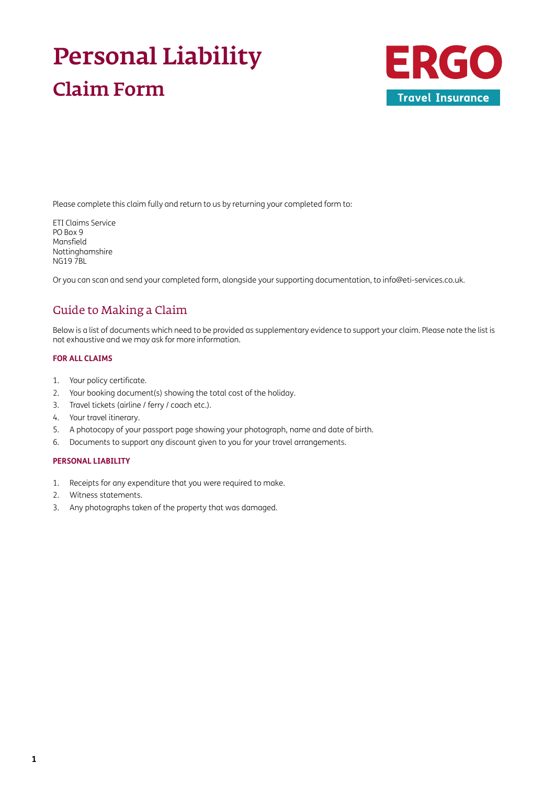# Personal Liability Claim Form



Please complete this claim fully and return to us by returning your completed form to:

ETI Claims Service PO Box 9 Mansfield Nottinghamshire NG19 7BL

Or you can scan and send your completed form, alongside your supporting documentation, to [info@eti-services.co.uk.](mailto:info%40eti-services.co.uk?subject=)

### Guide to Making a Claim

Below is a list of documents which need to be provided as supplementary evidence to support your claim. Please note the list is not exhaustive and we may ask for more information.

### **FOR ALL CLAIMS**

- 1. Your policy certificate.
- 2. Your booking document(s) showing the total cost of the holiday.
- 3. Travel tickets (airline / ferry / coach etc.).
- 4. Your travel itinerary.
- 5. A photocopy of your passport page showing your photograph, name and date of birth.
- 6. Documents to support any discount given to you for your travel arrangements.

#### **PERSONAL LIABILITY**

- 1. Receipts for any expenditure that you were required to make.
- 2. Witness statements.
- 3. Any photographs taken of the property that was damaged.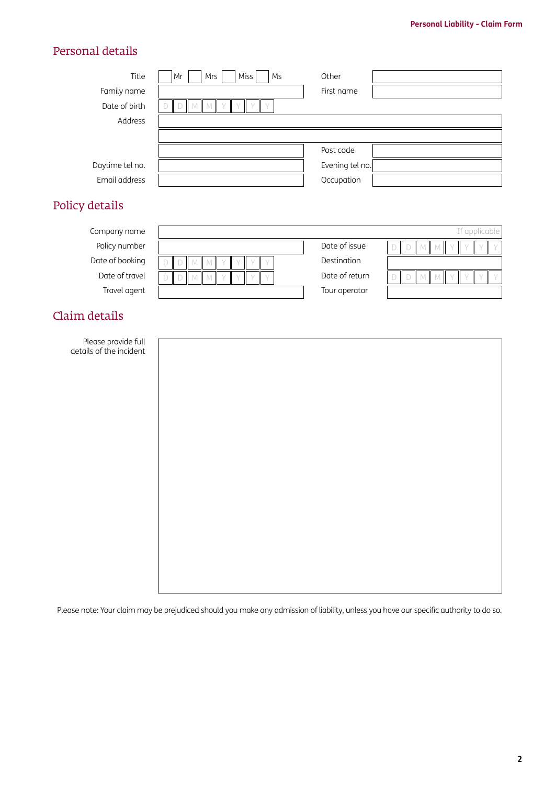### Personal details

| Title           | <b>Miss</b><br>Mrs<br>Ms<br>Mr | Other           |
|-----------------|--------------------------------|-----------------|
| Family name     |                                | First name      |
| Date of birth   |                                |                 |
| Address         |                                |                 |
|                 |                                |                 |
|                 |                                | Post code       |
| Daytime tel no. |                                | Evening tel no. |
| Email address   |                                | Occupation      |
|                 |                                |                 |

# Policy details

| Company name    |                |              |
|-----------------|----------------|--------------|
| Policy number   | Date of issue  | $\mathbb{I}$ |
| Date of booking | Destination    |              |
| Date of travel  | Date of return | $\mathbb{L}$ |
| Travel agent    | Tour operator  |              |
|                 |                |              |

## Claim details

| Please provide full     |
|-------------------------|
| details of the incident |

Please note: Your claim may be prejudiced should you make any admission of liability, unless you have our specific authority to do so.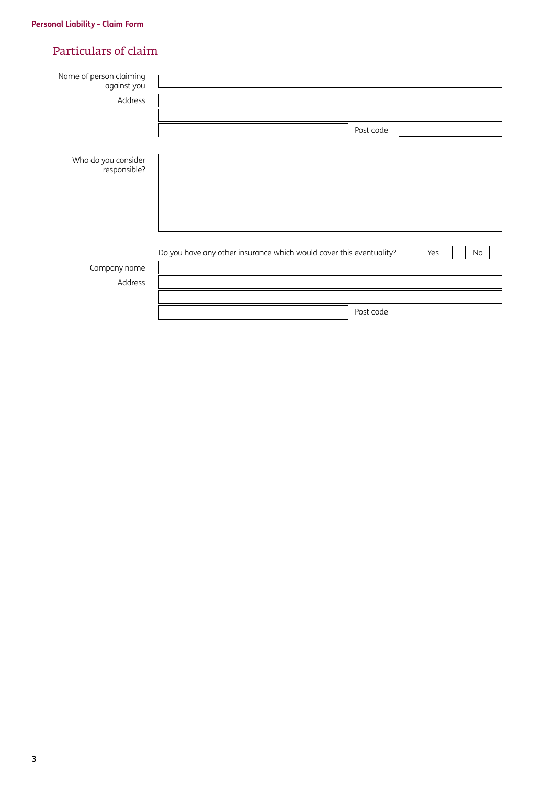### Particulars of claim

| Name of person claiming<br>against you |                                                                                  |
|----------------------------------------|----------------------------------------------------------------------------------|
| Address                                |                                                                                  |
|                                        |                                                                                  |
|                                        | Post code                                                                        |
|                                        |                                                                                  |
| Who do you consider<br>responsible?    |                                                                                  |
|                                        |                                                                                  |
|                                        |                                                                                  |
|                                        |                                                                                  |
|                                        |                                                                                  |
|                                        | Do you have any other insurance which would cover this eventuality?<br>Yes<br>No |
| Company name                           |                                                                                  |
| Address                                |                                                                                  |
|                                        |                                                                                  |
|                                        | Post code                                                                        |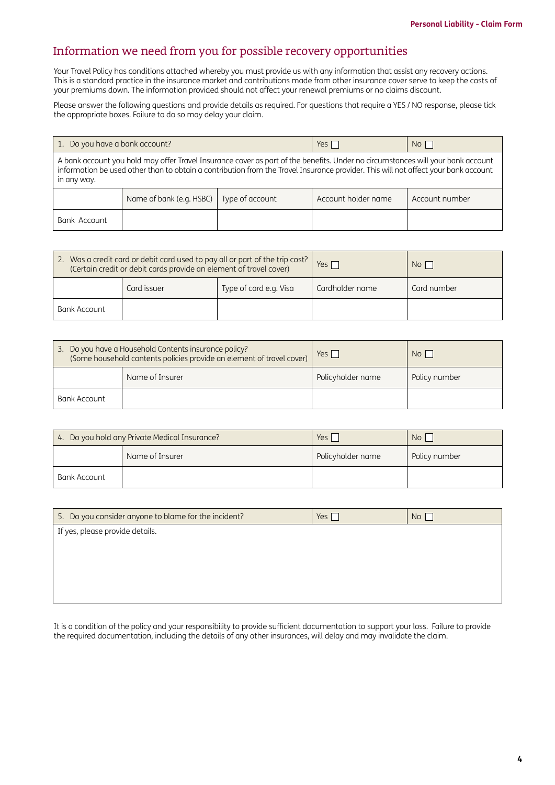### Information we need from you for possible recovery opportunities

Your Travel Policy has conditions attached whereby you must provide us with any information that assist any recovery actions. This is a standard practice in the insurance market and contributions made from other insurance cover serve to keep the costs of your premiums down. The information provided should not affect your renewal premiums or no claims discount.

Please answer the following questions and provide details as required. For questions that require a YES / NO response, please tick the appropriate boxes. Failure to do so may delay your claim.

| 1. Do you have a bank account?                                                                                                                                                                                                                                                       |                                                                                     |  | Yes I | $No$ |
|--------------------------------------------------------------------------------------------------------------------------------------------------------------------------------------------------------------------------------------------------------------------------------------|-------------------------------------------------------------------------------------|--|-------|------|
| A bank account you hold may offer Travel Insurance cover as part of the benefits. Under no circumstances will your bank account<br>information be used other than to obtain a contribution from the Travel Insurance provider. This will not affect your bank account<br>in any way. |                                                                                     |  |       |      |
|                                                                                                                                                                                                                                                                                      | Name of bank (e.g. HSBC)   Type of account<br>Account holder name<br>Account number |  |       |      |
| Bank Account                                                                                                                                                                                                                                                                         |                                                                                     |  |       |      |

| 2. Was a credit card or debit card used to pay all or part of the trip cost?<br>(Certain credit or debit cards provide an element of travel cover) |             | Yes $\Gamma$           | No <sub>1</sub> |             |
|----------------------------------------------------------------------------------------------------------------------------------------------------|-------------|------------------------|-----------------|-------------|
|                                                                                                                                                    | Card issuer | Type of card e.g. Visa | Cardholder name | Card number |
| Bank Account                                                                                                                                       |             |                        |                 |             |

| 3. Do you have a Household Contents insurance policy?<br>(Some household contents policies provide an element of travel cover) |  | $Yes \mid$        | N <sub>O</sub> |
|--------------------------------------------------------------------------------------------------------------------------------|--|-------------------|----------------|
| Name of Insurer                                                                                                                |  | Policyholder name | Policy number  |
| Bank Account                                                                                                                   |  |                   |                |

| 4. Do you hold any Private Medical Insurance? |                 | Yes i             | No <sub>1</sub> |
|-----------------------------------------------|-----------------|-------------------|-----------------|
|                                               | Name of Insurer | Policyholder name | Policy number   |
| Bank Account                                  |                 |                   |                 |

| 5. Do you consider anyone to blame for the incident? | Yes $\sqrt{}$ | No |
|------------------------------------------------------|---------------|----|
| If yes, please provide details.                      |               |    |
|                                                      |               |    |
|                                                      |               |    |
|                                                      |               |    |
|                                                      |               |    |

It is a condition of the policy and your responsibility to provide sufficient documentation to support your loss. Failure to provide the required documentation, including the details of any other insurances, will delay and may invalidate the claim.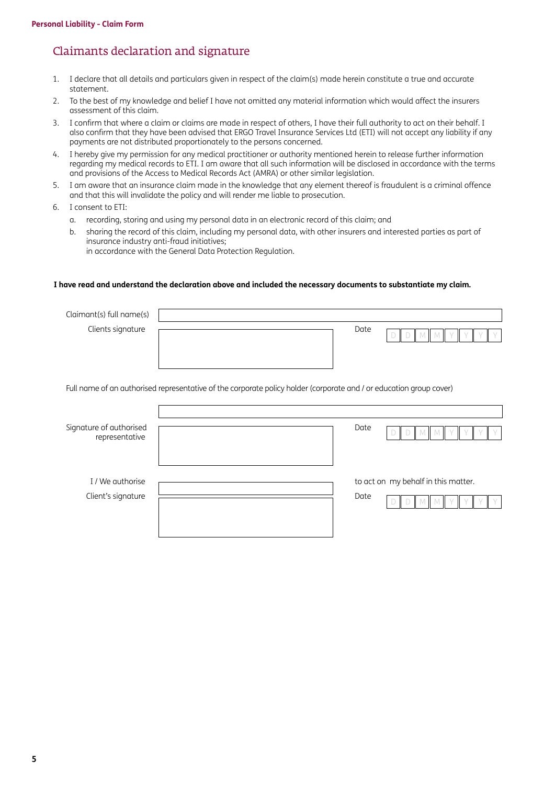### Claimants declaration and signature

- 1. I declare that all details and particulars given in respect of the claim(s) made herein constitute a true and accurate statement.
- 2. To the best of my knowledge and belief I have not omitted any material information which would affect the insurers assessment of this claim.
- 3. I confirm that where a claim or claims are made in respect of others, I have their full authority to act on their behalf. I also confirm that they have been advised that ERGO Travel Insurance Services Ltd (ETI) will not accept any liability if any payments are not distributed proportionately to the persons concerned.
- 4. I hereby give my permission for any medical practitioner or authority mentioned herein to release further information regarding my medical records to ETI. I am aware that all such information will be disclosed in accordance with the terms and provisions of the Access to Medical Records Act (AMRA) or other similar legislation.
- 5. I am aware that an insurance claim made in the knowledge that any element thereof is fraudulent is a criminal offence and that this will invalidate the policy and will render me liable to prosecution.
- 6. I consent to ETI:
	- a. recording, storing and using my personal data in an electronic record of this claim; and
	- b. sharing the record of this claim, including my personal data, with other insurers and interested parties as part of insurance industry anti-fraud initiatives; in accordance with the General Data Protection Regulation.

#### **I have read and understand the declaration above and included the necessary documents to substantiate my claim.**

| Claimant(s) full name(s)                  |                                                                                                                     |
|-------------------------------------------|---------------------------------------------------------------------------------------------------------------------|
| Clients signature                         | Date                                                                                                                |
|                                           | Full name of an authorised representative of the corporate policy holder (corporate and / or education group cover) |
|                                           |                                                                                                                     |
| Signature of authorised<br>representative | Date                                                                                                                |
| I / We authorise                          | to act on my behalf in this matter.                                                                                 |
| Client's signature                        | Date                                                                                                                |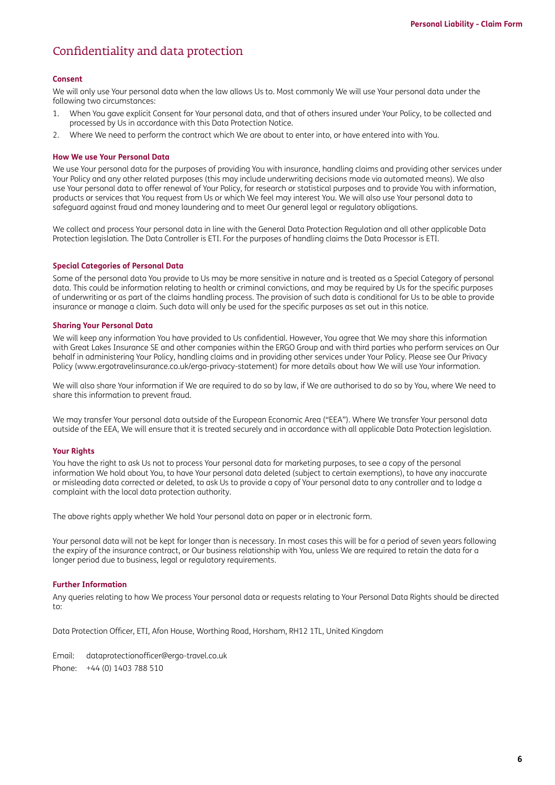### Confidentiality and data protection

#### **Consent**

We will only use Your personal data when the law allows Us to. Most commonly We will use Your personal data under the following two circumstances:

- 1. When You gave explicit Consent for Your personal data, and that of others insured under Your Policy, to be collected and processed by Us in accordance with this Data Protection Notice.
- 2. Where We need to perform the contract which We are about to enter into, or have entered into with You.

#### **How We use Your Personal Data**

We use Your personal data for the purposes of providing You with insurance, handling claims and providing other services under Your Policy and any other related purposes (this may include underwriting decisions made via automated means). We also use Your personal data to offer renewal of Your Policy, for research or statistical purposes and to provide You with information, products or services that You request from Us or which We feel may interest You. We will also use Your personal data to safeguard against fraud and money laundering and to meet Our general legal or regulatory obligations.

We collect and process Your personal data in line with the General Data Protection Regulation and all other applicable Data Protection legislation. The Data Controller is ETI. For the purposes of handling claims the Data Processor is ETI.

#### **Special Categories of Personal Data**

Some of the personal data You provide to Us may be more sensitive in nature and is treated as a Special Category of personal data. This could be information relating to health or criminal convictions, and may be required by Us for the specific purposes of underwriting or as part of the claims handling process. The provision of such data is conditional for Us to be able to provide insurance or manage a claim. Such data will only be used for the specific purposes as set out in this notice.

#### **Sharing Your Personal Data**

We will keep any information You have provided to Us confidential. However, You agree that We may share this information with Great Lakes Insurance SE and other companies within the ERGO Group and with third parties who perform services on Our behalf in administering Your Policy, handling claims and in providing other services under Your Policy. Please see Our Privacy Policy [\(www.ergotravelinsurance.co.uk/ergo-privacy-statement](http://www.ergotravelinsurance.co.uk/ergo-privacy-statement)) for more details about how We will use Your information.

We will also share Your information if We are required to do so by law, if We are authorised to do so by You, where We need to share this information to prevent fraud.

We may transfer Your personal data outside of the European Economic Area ("EEA"). Where We transfer Your personal data outside of the EEA, We will ensure that it is treated securely and in accordance with all applicable Data Protection legislation.

#### **Your Rights**

You have the right to ask Us not to process Your personal data for marketing purposes, to see a copy of the personal information We hold about You, to have Your personal data deleted (subject to certain exemptions), to have any inaccurate or misleading data corrected or deleted, to ask Us to provide a copy of Your personal data to any controller and to lodge a complaint with the local data protection authority.

The above rights apply whether We hold Your personal data on paper or in electronic form.

Your personal data will not be kept for longer than is necessary. In most cases this will be for a period of seven years following the expiry of the insurance contract, or Our business relationship with You, unless We are required to retain the data for a longer period due to business, legal or regulatory requirements.

#### **Further Information**

Any queries relating to how We process Your personal data or requests relating to Your Personal Data Rights should be directed to:

Data Protection Officer, ETI, Afon House, Worthing Road, Horsham, RH12 1TL, United Kingdom

Email: [dataprotectionofficer@ergo-travel.co.uk](mailto:dataprotectionofficer%40ergo-travel.co.uk?subject=) Phone: +44 (0) 1403 788 510